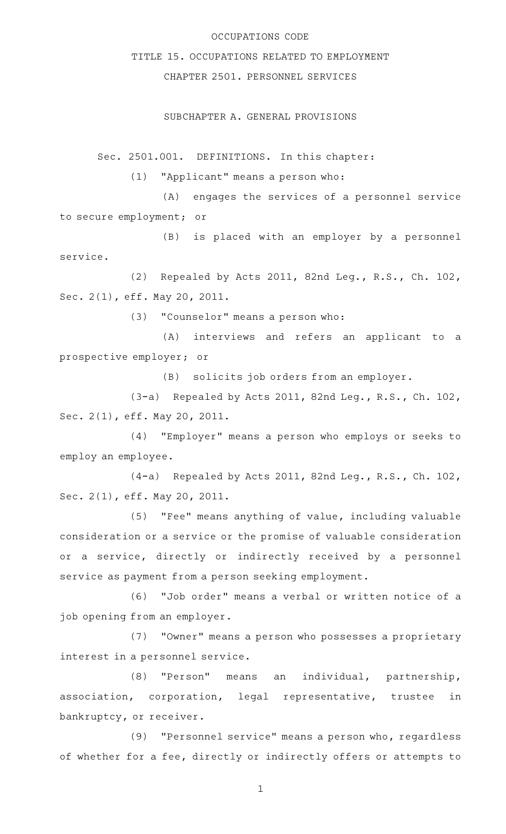## OCCUPATIONS CODE

## TITLE 15. OCCUPATIONS RELATED TO EMPLOYMENT

# CHAPTER 2501. PERSONNEL SERVICES

### SUBCHAPTER A. GENERAL PROVISIONS

Sec. 2501.001. DEFINITIONS. In this chapter:

(1) "Applicant" means a person who:

(A) engages the services of a personnel service to secure employment; or

(B) is placed with an employer by a personnel service.

(2) Repealed by Acts 2011, 82nd Leg., R.S., Ch. 102, Sec. 2(1), eff. May 20, 2011.

 $(3)$  "Counselor" means a person who:

(A) interviews and refers an applicant to a prospective employer; or

(B) solicits job orders from an employer.

(3-a) Repealed by Acts 2011, 82nd Leg., R.S., Ch. 102, Sec. 2(1), eff. May 20, 2011.

(4) "Employer" means a person who employs or seeks to employ an employee.

(4-a) Repealed by Acts 2011, 82nd Leg., R.S., Ch. 102, Sec. 2(1), eff. May 20, 2011.

(5) "Fee" means anything of value, including valuable consideration or a service or the promise of valuable consideration or a service, directly or indirectly received by a personnel service as payment from a person seeking employment.

(6) "Job order" means a verbal or written notice of a job opening from an employer.

(7) "Owner" means a person who possesses a proprietary interest in a personnel service.

(8) "Person" means an individual, partnership, association, corporation, legal representative, trustee in bankruptcy, or receiver.

(9) "Personnel service" means a person who, regardless of whether for a fee, directly or indirectly offers or attempts to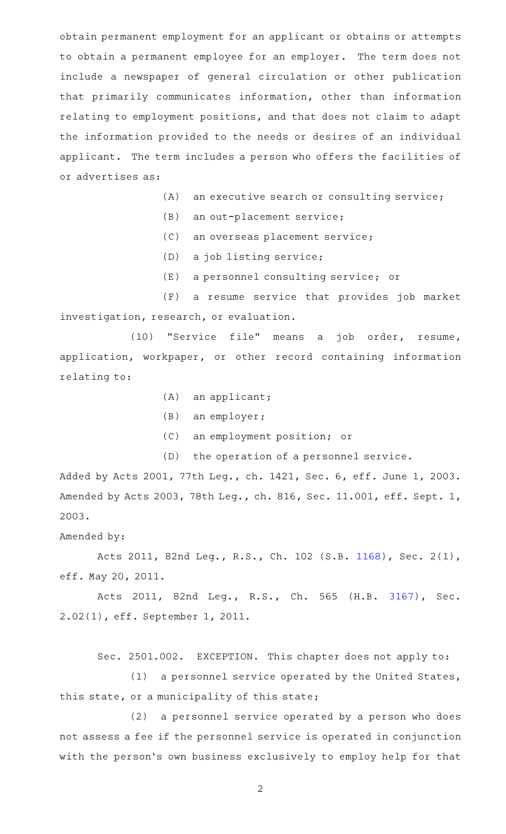obtain permanent employment for an applicant or obtains or attempts to obtain a permanent employee for an employer. The term does not include a newspaper of general circulation or other publication that primarily communicates information, other than information relating to employment positions, and that does not claim to adapt the information provided to the needs or desires of an individual applicant. The term includes a person who offers the facilities of or advertises as:

- $(A)$  an executive search or consulting service;
- $(B)$  an out-placement service;
- (C) an overseas placement service;
- (D) a job listing service;
- (E) a personnel consulting service; or

(F) a resume service that provides job market investigation, research, or evaluation.

(10) "Service file" means a job order, resume, application, workpaper, or other record containing information relating to:

- $(A)$  an applicant;
- $(B)$  an employer;
- (C) an employment position; or
- (D) the operation of a personnel service.

Added by Acts 2001, 77th Leg., ch. 1421, Sec. 6, eff. June 1, 2003. Amended by Acts 2003, 78th Leg., ch. 816, Sec. 11.001, eff. Sept. 1, 2003.

## Amended by:

Acts 2011, 82nd Leg., R.S., Ch. 102 (S.B. [1168\)](http://www.legis.state.tx.us/tlodocs/82R/billtext/html/SB01168F.HTM), Sec. 2(1), eff. May 20, 2011.

Acts 2011, 82nd Leg., R.S., Ch. 565 (H.B. [3167\)](http://www.legis.state.tx.us/tlodocs/82R/billtext/html/HB03167F.HTM), Sec. 2.02(1), eff. September 1, 2011.

Sec. 2501.002. EXCEPTION. This chapter does not apply to:

 $(1)$  a personnel service operated by the United States, this state, or a municipality of this state;

(2) a personnel service operated by a person who does not assess a fee if the personnel service is operated in conjunction with the person's own business exclusively to employ help for that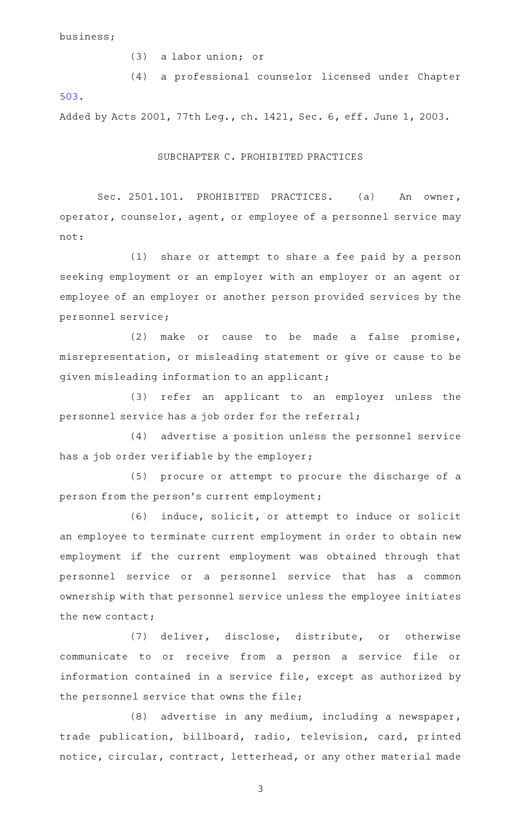business;

(3) a labor union; or

(4) a professional counselor licensed under Chapter [503.](http://www.statutes.legis.state.tx.us/GetStatute.aspx?Code=OC&Value=503)

Added by Acts 2001, 77th Leg., ch. 1421, Sec. 6, eff. June 1, 2003.

### SUBCHAPTER C. PROHIBITED PRACTICES

Sec. 2501.101. PROHIBITED PRACTICES. (a) An owner, operator, counselor, agent, or employee of a personnel service may not:

(1) share or attempt to share a fee paid by a person seeking employment or an employer with an employer or an agent or employee of an employer or another person provided services by the personnel service;

 $(2)$  make or cause to be made a false promise, misrepresentation, or misleading statement or give or cause to be given misleading information to an applicant;

(3) refer an applicant to an employer unless the personnel service has a job order for the referral;

(4) advertise a position unless the personnel service has a job order verifiable by the employer;

(5) procure or attempt to procure the discharge of a person from the person's current employment;

(6) induce, solicit, or attempt to induce or solicit an employee to terminate current employment in order to obtain new employment if the current employment was obtained through that personnel service or a personnel service that has a common ownership with that personnel service unless the employee initiates the new contact;

(7) deliver, disclose, distribute, or otherwise communicate to or receive from a person a service file or information contained in a service file, except as authorized by the personnel service that owns the file;

 $(8)$  advertise in any medium, including a newspaper, trade publication, billboard, radio, television, card, printed notice, circular, contract, letterhead, or any other material made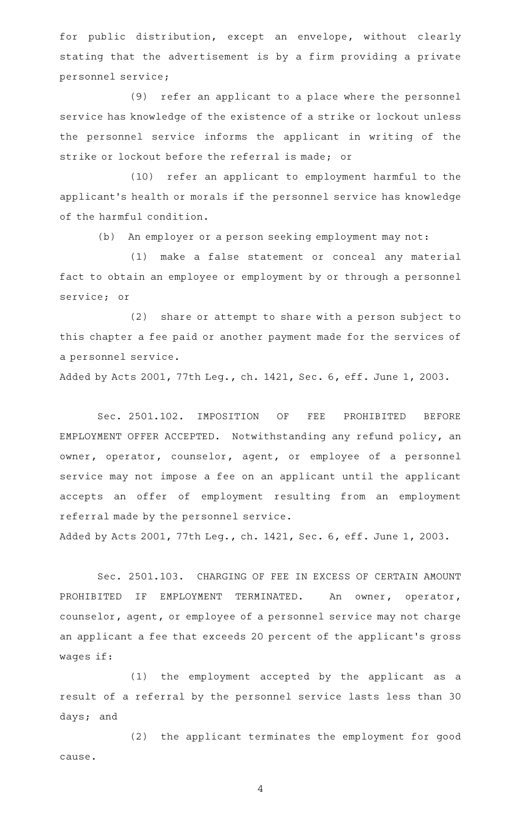for public distribution, except an envelope, without clearly stating that the advertisement is by a firm providing a private personnel service;

(9) refer an applicant to a place where the personnel service has knowledge of the existence of a strike or lockout unless the personnel service informs the applicant in writing of the strike or lockout before the referral is made; or

(10) refer an applicant to employment harmful to the applicant 's health or morals if the personnel service has knowledge of the harmful condition.

(b) An employer or a person seeking employment may not:

(1) make a false statement or conceal any material fact to obtain an employee or employment by or through a personnel service; or

(2) share or attempt to share with a person subject to this chapter a fee paid or another payment made for the services of a personnel service.

Added by Acts 2001, 77th Leg., ch. 1421, Sec. 6, eff. June 1, 2003.

Sec. 2501.102. IMPOSITION OF FEE PROHIBITED BEFORE EMPLOYMENT OFFER ACCEPTED. Notwithstanding any refund policy, an owner, operator, counselor, agent, or employee of a personnel service may not impose a fee on an applicant until the applicant accepts an offer of employment resulting from an employment referral made by the personnel service.

Added by Acts 2001, 77th Leg., ch. 1421, Sec. 6, eff. June 1, 2003.

Sec. 2501.103. CHARGING OF FEE IN EXCESS OF CERTAIN AMOUNT PROHIBITED IF EMPLOYMENT TERMINATED. An owner, operator, counselor, agent, or employee of a personnel service may not charge an applicant a fee that exceeds 20 percent of the applicant 's gross wages if:

(1) the employment accepted by the applicant as a result of a referral by the personnel service lasts less than 30 days; and

(2) the applicant terminates the employment for good cause.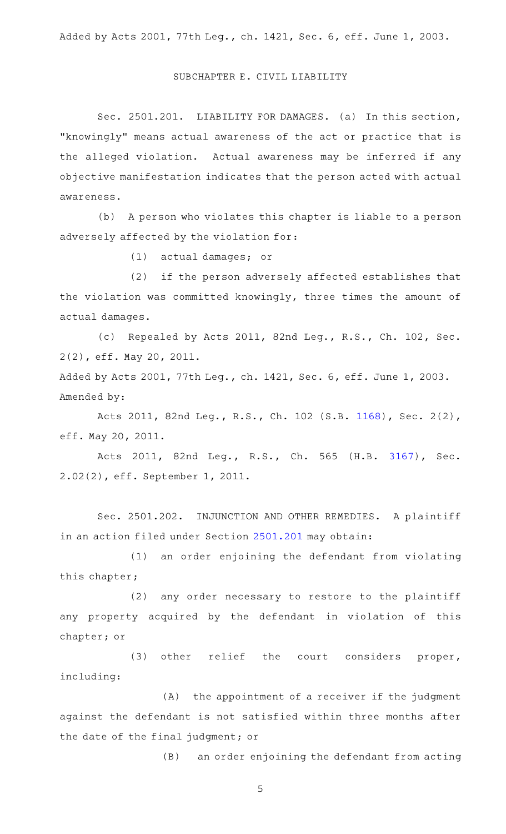## SUBCHAPTER E. CIVIL LIABILITY

Sec. 2501.201. LIABILITY FOR DAMAGES. (a) In this section, "knowingly" means actual awareness of the act or practice that is the alleged violation. Actual awareness may be inferred if any objective manifestation indicates that the person acted with actual awareness.

(b) A person who violates this chapter is liable to a person adversely affected by the violation for:

(1) actual damages; or

(2) if the person adversely affected establishes that the violation was committed knowingly, three times the amount of actual damages.

(c) Repealed by Acts 2011, 82nd Leg., R.S., Ch. 102, Sec. 2(2), eff. May 20, 2011.

Added by Acts 2001, 77th Leg., ch. 1421, Sec. 6, eff. June 1, 2003. Amended by:

Acts 2011, 82nd Leg., R.S., Ch. 102 (S.B. [1168\)](http://www.legis.state.tx.us/tlodocs/82R/billtext/html/SB01168F.HTM), Sec. 2(2), eff. May 20, 2011.

Acts 2011, 82nd Leg., R.S., Ch. 565 (H.B. [3167\)](http://www.legis.state.tx.us/tlodocs/82R/billtext/html/HB03167F.HTM), Sec. 2.02(2), eff. September 1, 2011.

Sec. 2501.202. INJUNCTION AND OTHER REMEDIES. A plaintiff in an action filed under Section [2501.201](http://www.statutes.legis.state.tx.us/GetStatute.aspx?Code=OC&Value=2501.201) may obtain:

(1) an order enjoining the defendant from violating this chapter;

(2) any order necessary to restore to the plaintiff any property acquired by the defendant in violation of this chapter; or

(3) other relief the court considers proper, including:

 $(A)$  the appointment of a receiver if the judgment against the defendant is not satisfied within three months after the date of the final judgment; or

(B) an order enjoining the defendant from acting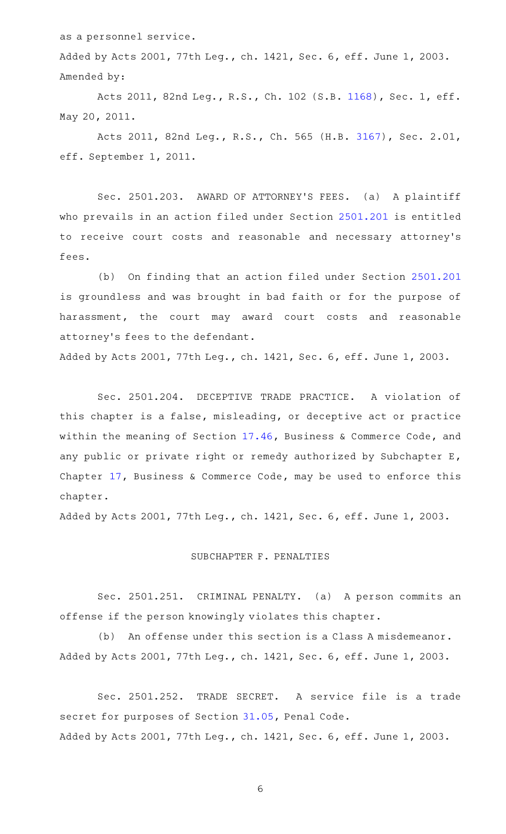as a personnel service.

Added by Acts 2001, 77th Leg., ch. 1421, Sec. 6, eff. June 1, 2003. Amended by:

Acts 2011, 82nd Leg., R.S., Ch. 102 (S.B. [1168](http://www.legis.state.tx.us/tlodocs/82R/billtext/html/SB01168F.HTM)), Sec. 1, eff. May 20, 2011.

Acts 2011, 82nd Leg., R.S., Ch. 565 (H.B. [3167\)](http://www.legis.state.tx.us/tlodocs/82R/billtext/html/HB03167F.HTM), Sec. 2.01, eff. September 1, 2011.

Sec. 2501.203. AWARD OF ATTORNEY'S FEES. (a) A plaintiff who prevails in an action filed under Section [2501.201](http://www.statutes.legis.state.tx.us/GetStatute.aspx?Code=OC&Value=2501.201) is entitled to receive court costs and reasonable and necessary attorney 's fees.

(b) On finding that an action filed under Section [2501.201](http://www.statutes.legis.state.tx.us/GetStatute.aspx?Code=OC&Value=2501.201) is groundless and was brought in bad faith or for the purpose of harassment, the court may award court costs and reasonable attorney 's fees to the defendant.

Added by Acts 2001, 77th Leg., ch. 1421, Sec. 6, eff. June 1, 2003.

Sec. 2501.204. DECEPTIVE TRADE PRACTICE. A violation of this chapter is a false, misleading, or deceptive act or practice within the meaning of Section [17.46](http://www.statutes.legis.state.tx.us/GetStatute.aspx?Code=BC&Value=17.46), Business & Commerce Code, and any public or private right or remedy authorized by Subchapter E, Chapter [17](http://www.statutes.legis.state.tx.us/GetStatute.aspx?Code=BC&Value=17), Business & Commerce Code, may be used to enforce this chapter.

Added by Acts 2001, 77th Leg., ch. 1421, Sec. 6, eff. June 1, 2003.

#### SUBCHAPTER F. PENALTIES

Sec. 2501.251. CRIMINAL PENALTY. (a) A person commits an offense if the person knowingly violates this chapter.

(b) An offense under this section is a Class A misdemeanor. Added by Acts 2001, 77th Leg., ch. 1421, Sec. 6, eff. June 1, 2003.

Sec. 2501.252. TRADE SECRET. A service file is a trade secret for purposes of Section [31.05](http://www.statutes.legis.state.tx.us/GetStatute.aspx?Code=PE&Value=31.05), Penal Code. Added by Acts 2001, 77th Leg., ch. 1421, Sec. 6, eff. June 1, 2003.